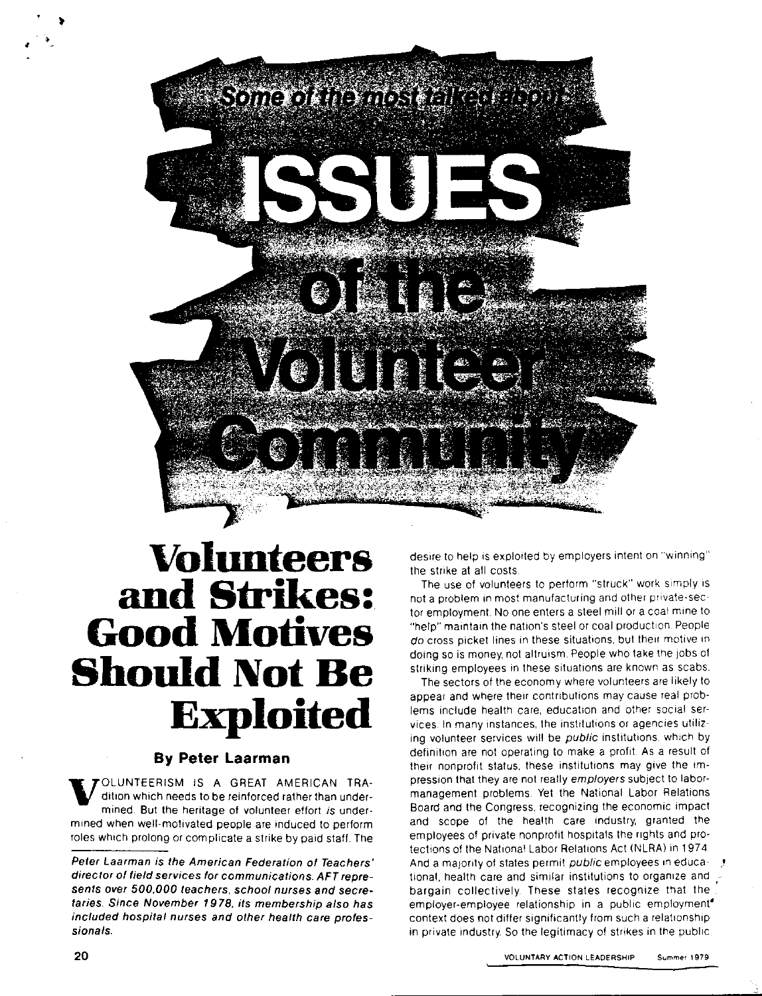

# **Volunteers and Strikes: Good Motives Should Not Be Exploited**

### **By Peter Laarman**

V OLUNTEERISM IS A GREAT AMERICAN TRAdition which needs to be reinforced rather than undermined. But the heritage of volunteer effort is undermined when well-motivated people are induced to perform roles which prolong or complicate a strike by paid staff. The desire to help is exploited by employers intent on "winning" the strike at all costs

The use of volunteers to perform "struck" work simply is not a problem in most manufacturing and other private-sector employment. No one enters a steel mill or a coal mine to "help" maintain the nation's steel or coal production. People do cross picket lines in these situations, but their motive in doing so is money, not altruism People who take the Jobs of striking employees in these situations are known as scabs.

The sectors of the economy where volunteers are likely to appear and where their contributions may cause real problems include health care, education and other social services. In many instances. the institutions or agencies utilizing volunteer services will be public institutions. which by definition are not operating to make a profit. As a result of their nonprofit status, these institutions may give the impression that they are not really employers subject to labormanagement problems. Yet the National Labor Relations Board and the Congress. recognizing the economic impact and scope of the health care industry, granted the employees of private nonprofit hospitals the rights and protections of the National Labor Relations Act (NLRA) in 1974. And a majority of states permit public employees in educational, health care and similar institutions to organize and bargain collectively. These states recognize that the employer-employee relationship in a public employment<sup>®</sup> context does not differ significantly from such a relationship in private industry. So the legitimacy of strikes in the public

,

Peter Laarman is the American Federation of Teachers' director of field services for communications. AFT represents over *500,000* teachers, school nurses and secretaries. Since November 19 78, its membership also has included hospital nurses and other health care professionals.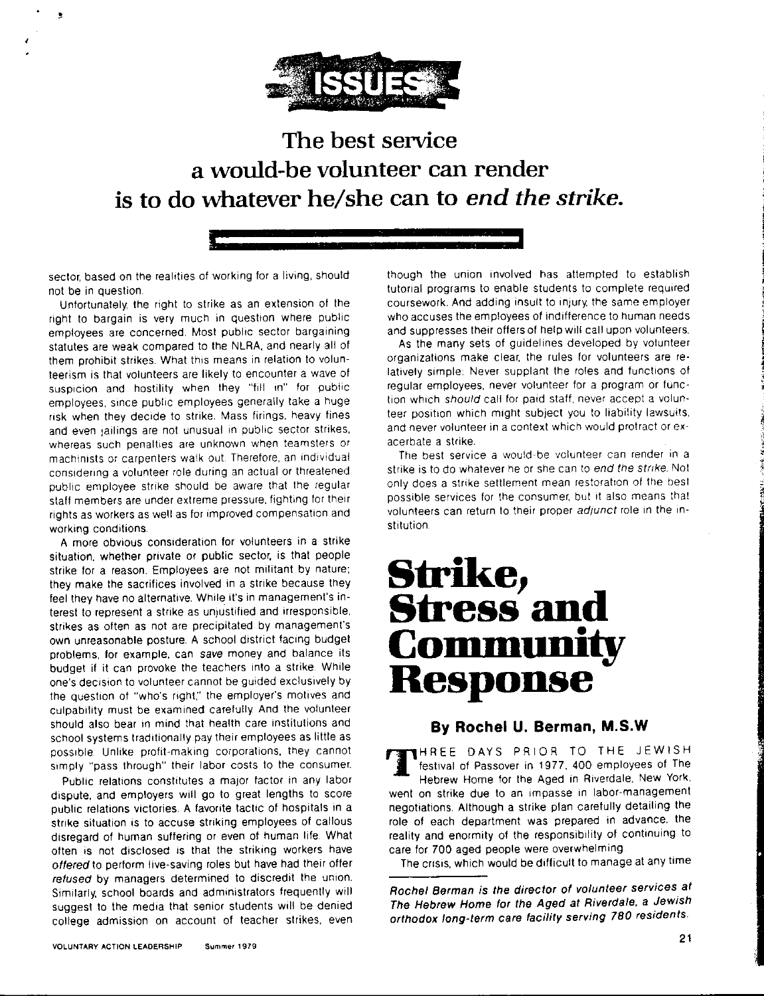

### **The best service a would-be volunteer can render is to do whatever he/she can to** *end the strike.*

sector, based on the realities of working for a living, should

not be in question. Unfortunately, the right to strike as an extension of the

right to bargain is very much in question where public employees are concerned. Most public sector bargaining statutes are weak compared to the NLRA, and nearly all of them prohibit strikes. What this means in relation to volunteerism is that volunteers are likely to encounter a wave of suspicion and hostility when they "fill in" for public employees, smce public employees generally take a huge risk when they decide to strike. Mass firings, heavy fines and even jailings are not unusual in public sector strikes. whereas such penalties are unknown when teamsters or machinists or carpenters walk out. Therefore, an individual considering a vOlunteer role during an actual or threatened public employee strike should be aware that the regular staff members are under extreme pressure, fighting for their rights as workers as well as for improved compensation and working conditions.

A more obvious consideration for volunteers in a strike situation, whether private or public sector, is that people strike for a reason. Employees are not militant by nature; they make the sacrifices involved in a strike because they feel they have no alternative. While it's in management's interest to represent a strike as unjustified and irresponsible, strikes as often as not are precipitated by management's own unreasonable posture A school district facing budget problems. for example. can save money and balance its budget if it can provoke the teachers into a strike. Whtie one's decision to volunteer cannot be guided exclusively by the question of "who's right," the employer's motives and culpability must be examined carefully. And the volunteer should also bear in mind that health care institutions and school systems traditionally pay their employees as little as possible. Unlike profit-making coiporations, they cannot simply "pass through" their labor costs to the consumer.

Public relations constitutes a maior factor in any labor dispute, and employers will go to great lengths to score public relations victories. A favorite tactic of hospitals in a strike situation is to accuse striking employees of callous disregard of human suffering or even of human life. What often is not disclosed is that the striking workers have offered to perform live-saving roles but have had their offer refused by managers determined to discredit the union. Similarly, school boards and administrators frequently will suggest to the media that senior students will be denied college admission on account of teacher strikes, even

though the union involved has attempted to establish tutorial programs to enable students to complete required coursework. And adding insult to injury, the same employer who accuses the employees of indifference to human needs and suppresses their offers of help will call upon volunteers.

As the many sets of guidelines developed by volunteer organizations make clear, the rules for volunteers are relatively simple: Never supplant the roles and functions of regular employees. never volunteer for a program or function which should call for paid staff, never accept a volunteer position which might subject you to liability lawsuits, and never volunteer in a context which would protract or exacerbate a strike.

The best service a would-be volunteer can render in a strike is to do whatever he or she can to end the strike. Not only does a strike settlement mean restoration of the best possible services for the consumer, but it also means that volunteers can return to their proper adjunct role in the institution

## **Strike, Stress and Community Response**

### **By Rochel U. Berman, M.S.W**

TTHREE DAYS PRIOR TO THE JEWISH festival of Passover in 1977, 400 employees of T<br>Hebrew Home for the Aged in Riverdale, New Yo festival of Passover in 1977, 400 employees of The Hebrew Home for the Aged in Riverdale, New York, went on strike due to an impasse in labor-management negotiations. Although a strike plan carefully detailing the role of each department was prepared in advance, the reality and enormity of the responsibility of continuing to care for 700 aged people were overwhelming

The crisis. which would be difficult to manage at any time

Rochel Berman is the director of volunteer services at The Hebrew Home for the Aged at Riverdale, a Jewish orthodox long-term care facility serving 780 residents.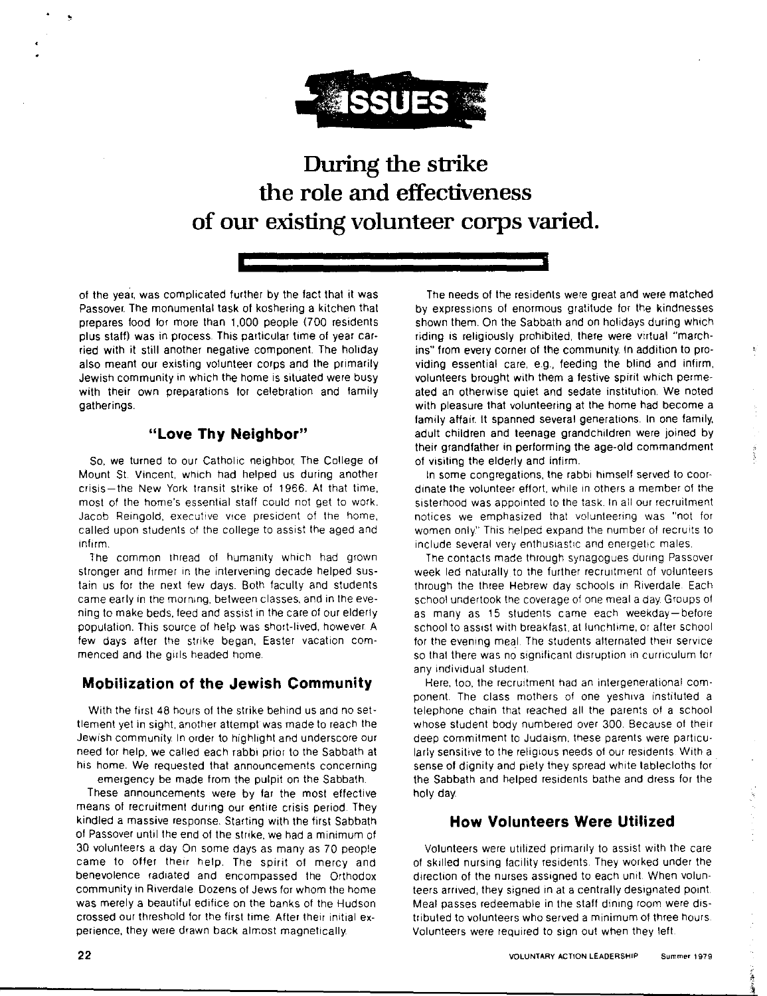

**During the strike the role and effectiveness of our existing volunteer corps varied.** 

of the year, was complicated further by the fact that it was Passover. The monumental task of koshering a kitchen that prepares food for more than 1,000 people (700 residents plus staff) was in process. This particular time of year car• ried with it still another negative component. The holiday also meant our existing volunteer corps and the primarily Jewish community in which the home is situated were busy with their own preparations for celebration and family gatherings.

#### **"Love Thy Neighbor"**

So, we turned to our Catholic neighbor. The College of Mount St. Vincent, which had helped us during another crisis-the New York transit strike of 1966. At that time. most of the home's essential staff could not get to work. Jacob Reingold, executive vice president of the home, called upon students of the college to assist the aged and infirm.

The common thread of humanity which had grown stronger and firmer in the intervening decade helped sustain us for the next few days Both faculty and students came early in the morning. between classes, and in the evening to make beds. teed and assist in the care of our elderly population. This source of help was short-lived, however. A few days after the strike began, Easter vacation commenced and the girls headed home.

### **Mobilization of the Jewish Community**

With the first 48 hours of the strike behind us and no settlement yet in sight, another attempt was made to reach the Jewish community. In order to highlight and underscore our need for help, we called each rabbi prior to the Sabbath at his home. We requested that announcements concerning emergency be made from the pulpit on the Sabbath.

These announcements were by far the most effective means of recruitment during our entire crisis period. They kindled a massive response. Starting with the first Sabbath of Passover until the end of the strike, we had a minimum of 30 volunteers a day On some days as many as 70 people came to offer their help. The spirit of mercy and benevolence radiated and encompassed the Orthodox community in Riverdale Dozens of Jews for whom the home was merely a beautiful edifice on the banks of the Hudson crossed our threshold for the first time. After their initial experience, they were drawn back almost magnetically.

The needs of the residents were great and were matched by expressions of enormous gratitude for the kindnesses shown them. On the Sabbath and on holidays during which riding is religiously prohibited, there were virtual "marchins" from every corner of the community. In addition to providing essential care, e.g., feeding the blind and infirm, volunteers brought with them a festive spirit which permeated an otherwise quiet and sedate institution. We noted with pleasure that volunteering at the home had become a family affair It spanned several generations. In one family, adult children and teenage grandchildren were joined by their grandfather in performing the age-old commandment of visiting the elderly and infirm.

In some congregations, the rabbi himself served to coordinate the volunteer effort, while in others a member of the sisterhood was appointed to the task. In all our recruitment notices we emphasized that volunteering was "not for women only." This helped expand the number of recruits to include several very enthusiastic and energetic males

The contacts made through synagogues during Passover week led naturally to the further recruitment of volunteers through the three Hebrew day schools in Riverdale Each school undertook the coverage of one meal a day. Groups of as many as 15 students came each weekday-before school to assist with breakfast, at lunchtime, or after school for the evening meal. The students alternated their service so that there was no significant disruption in curriculum for any individual student

Here, too, the recruitment had an intergenerational component. The class mothers of one veshiva instituted a telephone chain that reached all the parents of a school whose student body numbered over 300. Because of their deep commitment to Judaism. these parents were particularly sensitive to the religious needs of our residents With a sense of dignity and piety they spread white tablecloths for the Sabbath and helped residents bathe and dress for the holy day.

### **How Volunteers Were Utilized**

Volunteers were utilized primarily to assist with the care of skilled nursing facility residents. They worked under the direction of the nurses assigned to each unit. When volunteers arrived, they signed in at a centrally designated point Meal passes redeemable in the staff dining room were distributed to volunteers who served a minimum of three hours Volunteers were required to sign out when they left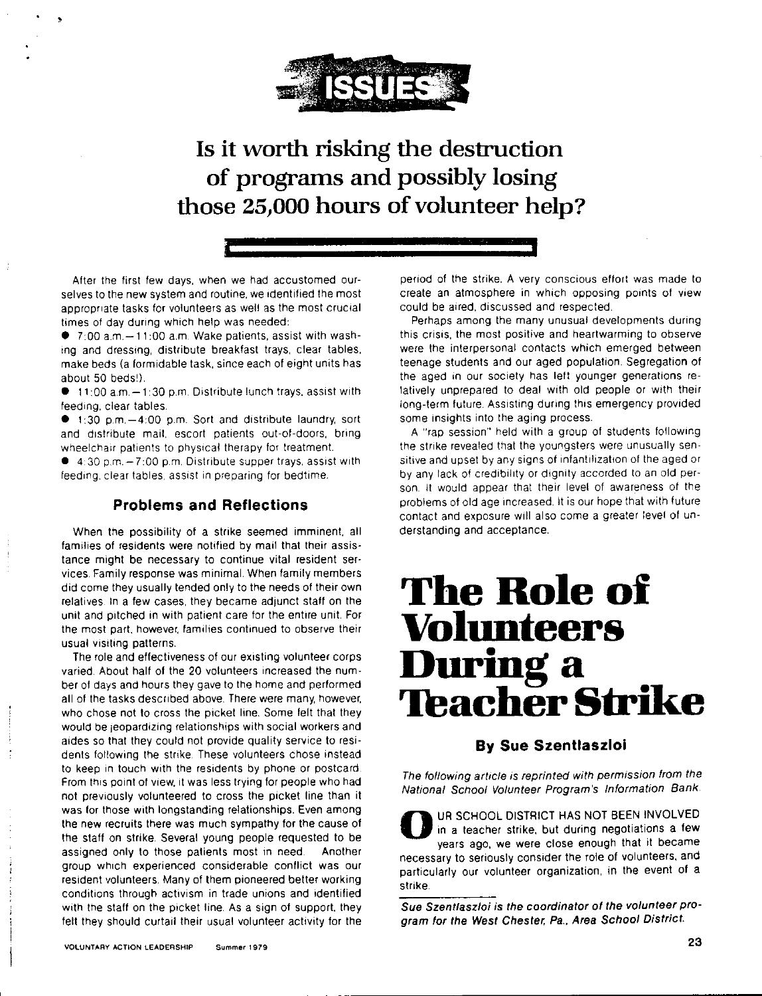

### Is it worth risking the destruction of programs and possibly losing those 25,000 hours of volunteer help?

After the first few days, when we had accustomed ourselves to the new system and routine, we identified the most appropriate tasks for volunteers as well as the most crucial times of day during which help was needed:

 $\bullet$  7:00 a.m. $-11:00$  a.m. Wake patients, assist with washing and dressing, distribute breakfast trays, clear tables, make beds (a formidable task, since each of eight units has about 50 beds').

 $\bullet$  11:00 a.m. $-1.30$  p.m. Distribute lunch trays, assist with feeding, clear tables

 $\bullet$  1:30 p.m.  $-4:00$  p.m. Sort and distribute laundry, sort and distribute mail, escort patients out-of-doors, bring wheelchair patients to physical therapy for treatment.

 $\bullet$  4:30 p.m.  $-7:00$  p.m. Distribute supper trays, assist with feeding, clear tables, assist in preparing for bedtime.

#### **Problems and Reflections**

When the possibility of a strike seemed imminent. all families of residents were notified by mail that their assistance might be necessary to continue vital resident services. Family response was minimal. When family members did come they usually tended only to the needs of their own relatives. In a few cases. they became adjunct staff on the unit and pitched in with patient care for the entire unit. For the most part. however, families continued to observe their usual visiting patterns.

The role and effectiveness of our existing volunteer corps varied About half of the 20 volunteers increased the number of days and hours they gave to the home and performed all of the tasks described above. There were many, however. who chose not to cross the picket line. Some felt that they would be ieopardizing relationships with social workers and aides so that they could not provide quality service to residents following the strike. These volunteers chose instead to keep in touch with the residents by phone or postcard From this point of view, it was less trying for people who had not previously volunteered to cross the picket line than ii was for those with longstanding relationships. Even among the new recruits there was much sympathy for the cause of the staff on strike. Several young people requested to be assigned only to those patients most in need. Another group which experienced considerable conflict was our resident volunteers. Many of them pioneered better working conditions through activism in trade unions and identified with the staff on the picket line. As a sign of support, they felt they should curtail their usual volunteer activity for the

period of the strike. A very conscious effort was made to create an atmosphere in which opposing points of view could be aired, discussed and respected

Perhaps among the many unusual developments during this crisis, the most positive and heartwarming to observe were the interpersonal contacts which emerged between teenage students and our aged population. Segregation of the aged in our society has left younger generations relatively unprepared to deal with old people or with their long-term future. Assisting during this emergency provided some insights into the aging process.

A "rap session" held with a group of students following the strike revealed that the youngsters were unusually sensitive and upset by any signs of infantifization of the aged or by any lack of credibility or dignity accorded to an old person. lt would appear that their level of awareness of the problems of old age increased. It is our hope that with future contact and exposure will also come a greater level of understanding and acceptance.

## **The Role oi VoJ11nteers During a 'Thacher Strike**

#### **By Sue Szentlaszloi**

The following article is reprinted with permission from the National School Volunteer Program's Information Bank.

UR SCHOOL DISTRICT HAS NOT BEEN INVOLVED in a teacher strike, but during negotiations a few years ago, we were close enough that it became necessary to seriously consider the role of volunteers, and particularly our volunteer organization, in the event of a strike

Sue Szentfaszloi is the coordinator of the volunteer program for the West Chester. Pa., Area School District.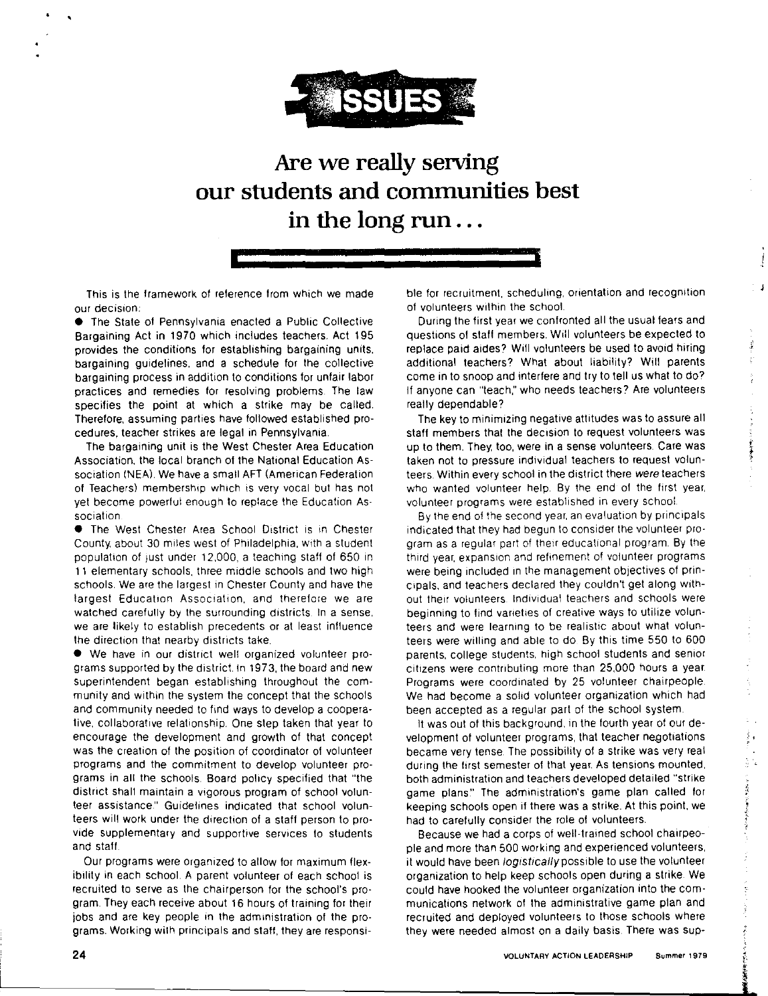

### **Are we really serving our students and communities best in the long run** ...

This is the framework of reference from which we made our decision:

• The State of Pennsylvania enacted a Public Collective Bargaining Act in 1970 which includes teachers. Act 195 provides the conditions for establishing bargaining units. bargaining guidelines. and a schedule for the collective bargaining process in addition to conditions for unfair labor practices and remedies for resolving problems. The law specifies the point at which a strike may be called. Therefore. assuming parties have followed established procedures, teacher strikes are legal in Pennsylvania.

The bargaining unit is the West Chester Area Education Association. the local branch of the National Education Association (NEA). We have a small AFT (American Federation of Teachers) membership which is very vocal but has not yet become powerful enough to replace the Education Association

• The West Chester Area School District is in Chester County, about 30 miles west of Philadelphia. with a student population of 1ust under 12,000, a teaching staff of 650 in **11** elementary schools. three middle schools and two high schools. We are the largest in Chester County and have the largest Education Association, and therefore we are watched carefully by the surrounding districts. In a sense. we are likely to establish precedents or at least influence the direction that nearby districts take.

• We have in our district wel! organized volunteer programs supported by the district. In 1973, the board and new superintendent began establishing throughout the community and within the system the concept that the schools and community needed to find ways to develop a cooperative. collaborative relationship. One step taken that year to encourage the development and growth of that concept was the creation of the position of coordinator of volunteer programs and the commitment to develop volunteer programs in all the schools. Board policy specified that "the district shall maintain a vigorous program of school volunteer assistance." Guidelines indicated that school volunteers will work under the direction of a staff person to provide supplementary and supportive services to students and staff

Our programs were organized to allow for maximum flexibility in each school. A parent volunteer of each school is recruited to serve as the chairperson for the school's program. They each receive about 16 hours of training for their jobs and are key people in the administration of the programs. Working wilh principals and staff, they are responsible for recruitment, schedulmg, orientation and recognition of volunteers within the school

During the first year we confronted all the usual fears and questions of staff members. Will volunteers be expected to replace paid aides? Will volunteers be used to avoid hiring additional teachers? What about liability? Will parents come in to snoop and interfere and try to tell us what to do? lf anyone can "teach," who needs teachers? Are volunteers really dependable?

 $\sigma_{\rm eff} \sim 6 \sigma_{\rm B}$ 

 $\frac{1}{2}$ 

エフ・ス アーティング すずまる

医皮质

 $\label{eq:1} \frac{\partial \mathcal{L}_{\mathbf{p}}}{\partial \mathbf{p}} = \frac{1}{2} \sum_{i=1}^{N} \frac{1}{2} \sum_{j=1}^{N} \frac{1}{2} \sum_{j=1}^{N} \frac{1}{2} \sum_{j=1}^{N} \frac{1}{2} \sum_{j=1}^{N} \frac{1}{2} \sum_{j=1}^{N} \frac{1}{2} \sum_{j=1}^{N} \frac{1}{2} \sum_{j=1}^{N} \frac{1}{2} \sum_{j=1}^{N} \frac{1}{2} \sum_{j=1}^{N} \frac{1}{2} \sum_{j=1}^{N}$ 

- 1.12 風情や少量な気をしまいて

The key to minimizing negative attitudes was to assure all staff members that the decision to request volunteers was up to them. They, too, were in a sense volunteers. Care was taken not to pressure individual teachers to request volunteers. Within every school in the district there were teachers who wanted volunteer help. By the end of the first year, volunteer programs were established in every school

By the end of the second year. an evaluation by principals indicated that they had begun to consider the volunteer program as a regular part of their educational program. By the third year, expansion and refinement of volunteer programs were being included in the management objectives of principals. and teachers declared they couldn't get along without their volunteers Individual teachers and schools were beginning to find vaneties of creative ways to utilize volunteers and were learning to be realistic about what volunteers were willing and able to do By this time 550 to 600 parents, college students, high school students and senior citizens were contributing more than 25,000 hours a year. Programs were coordinated by 25 volunteer chairpeople. We had become a solid volunteer organization which had been accepted as a regular part of the school system.

It was out of this background, in the fourth year of our development of volunteer programs, that teacher negotiations became very tense. The possibility of a strike was very real during the first semester of that year. As tensions mounted, both administration and teachers developed detailed "strike game plans." The administration's game plan called for keeping schools open if there was a strike. Al this point. we had to carefully consider the role of volunteers.

Because we had a corps of well-trained school chairpeople and more than 500 working and experienced volunteers, it would have been logistically possible to use the volunteer organization to help keep schools open during a strike. We could have hooked the volunteer organization into the communications network of the administrative game plan and recruited and deployed volunteers to those schools where they were needed almost on a daily basis. There was sup-